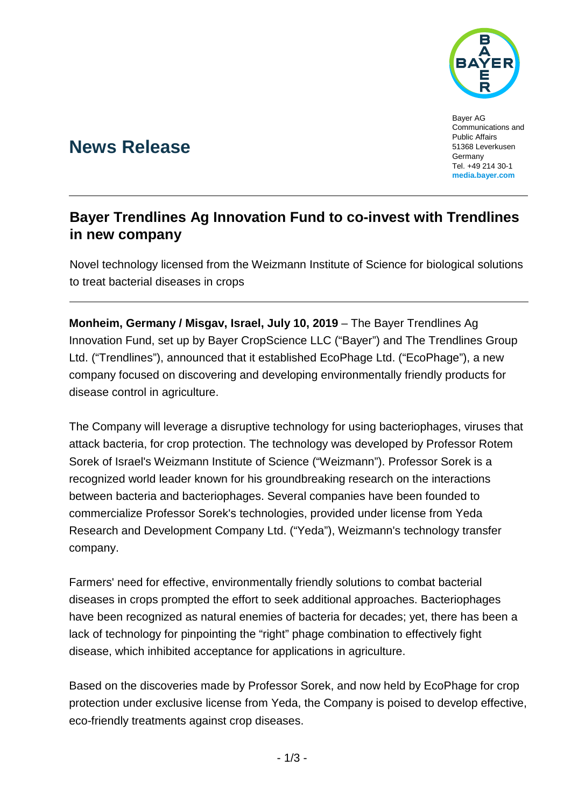

Bayer AG Communications and Public Affairs 51368 Leverkusen **Germany** Tel. +49 214 30-1 **[media.bayer.com](http://media.bayer.de/)**

# **News Release**

## **Bayer Trendlines Ag Innovation Fund to co-invest with Trendlines in new company**

Novel technology licensed from the Weizmann Institute of Science for biological solutions to treat bacterial diseases in crops

**Monheim, Germany / Misgav, Israel, July 10, 2019** – The Bayer Trendlines Ag Innovation Fund, set up by Bayer CropScience LLC ("Bayer") and The Trendlines Group Ltd. ("Trendlines"), announced that it established EcoPhage Ltd. ("EcoPhage"), a new company focused on discovering and developing environmentally friendly products for disease control in agriculture.

The Company will leverage a disruptive technology for using bacteriophages, viruses that attack bacteria, for crop protection. The technology was developed by Professor Rotem Sorek of Israel's Weizmann Institute of Science ("Weizmann"). Professor Sorek is a recognized world leader known for his groundbreaking research on the interactions between bacteria and bacteriophages. Several companies have been founded to commercialize Professor Sorek's technologies, provided under license from Yeda Research and Development Company Ltd. ("Yeda"), Weizmann's technology transfer company.

Farmers' need for effective, environmentally friendly solutions to combat bacterial diseases in crops prompted the effort to seek additional approaches. Bacteriophages have been recognized as natural enemies of bacteria for decades; yet, there has been a lack of technology for pinpointing the "right" phage combination to effectively fight disease, which inhibited acceptance for applications in agriculture.

Based on the discoveries made by Professor Sorek, and now held by EcoPhage for crop protection under exclusive license from Yeda, the Company is poised to develop effective, eco-friendly treatments against crop diseases.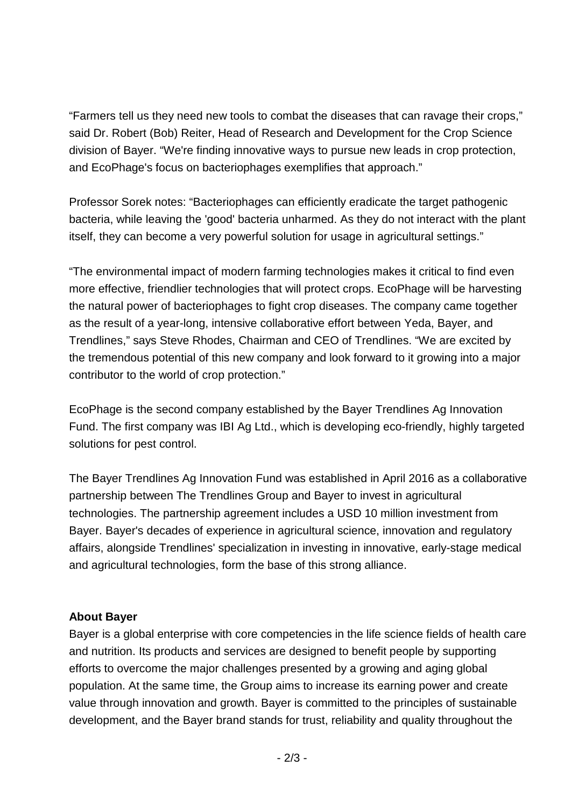"Farmers tell us they need new tools to combat the diseases that can ravage their crops," said Dr. Robert (Bob) Reiter, Head of Research and Development for the Crop Science division of Bayer. "We're finding innovative ways to pursue new leads in crop protection, and EcoPhage's focus on bacteriophages exemplifies that approach."

Professor Sorek notes: "Bacteriophages can efficiently eradicate the target pathogenic bacteria, while leaving the 'good' bacteria unharmed. As they do not interact with the plant itself, they can become a very powerful solution for usage in agricultural settings."

"The environmental impact of modern farming technologies makes it critical to find even more effective, friendlier technologies that will protect crops. EcoPhage will be harvesting the natural power of bacteriophages to fight crop diseases. The company came together as the result of a year-long, intensive collaborative effort between Yeda, Bayer, and Trendlines," says Steve Rhodes, Chairman and CEO of Trendlines. "We are excited by the tremendous potential of this new company and look forward to it growing into a major contributor to the world of crop protection."

EcoPhage is the second company established by the Bayer Trendlines Ag Innovation Fund. The first company was IBI Ag Ltd., which is developing eco-friendly, highly targeted solutions for pest control.

The Bayer Trendlines Ag Innovation Fund was established in April 2016 as a collaborative partnership between The Trendlines Group and Bayer to invest in agricultural technologies. The partnership agreement includes a USD 10 million investment from Bayer. Bayer's decades of experience in agricultural science, innovation and regulatory affairs, alongside Trendlines' specialization in investing in innovative, early-stage medical and agricultural technologies, form the base of this strong alliance.

### **About Bayer**

Bayer is a global enterprise with core competencies in the life science fields of health care and nutrition. Its products and services are designed to benefit people by supporting efforts to overcome the major challenges presented by a growing and aging global population. At the same time, the Group aims to increase its earning power and create value through innovation and growth. Bayer is committed to the principles of sustainable development, and the Bayer brand stands for trust, reliability and quality throughout the